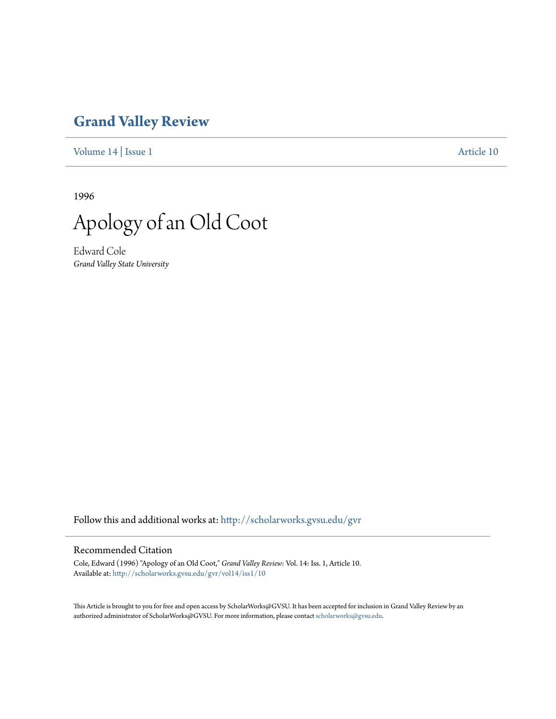## **[Grand Valley Review](http://scholarworks.gvsu.edu/gvr?utm_source=scholarworks.gvsu.edu%2Fgvr%2Fvol14%2Fiss1%2F10&utm_medium=PDF&utm_campaign=PDFCoverPages)**

[Volume 14](http://scholarworks.gvsu.edu/gvr/vol14?utm_source=scholarworks.gvsu.edu%2Fgvr%2Fvol14%2Fiss1%2F10&utm_medium=PDF&utm_campaign=PDFCoverPages) | [Issue 1](http://scholarworks.gvsu.edu/gvr/vol14/iss1?utm_source=scholarworks.gvsu.edu%2Fgvr%2Fvol14%2Fiss1%2F10&utm_medium=PDF&utm_campaign=PDFCoverPages) [Article 10](http://scholarworks.gvsu.edu/gvr/vol14/iss1/10?utm_source=scholarworks.gvsu.edu%2Fgvr%2Fvol14%2Fiss1%2F10&utm_medium=PDF&utm_campaign=PDFCoverPages)

1996



Edward Cole *Grand Valley State University*

Follow this and additional works at: [http://scholarworks.gvsu.edu/gvr](http://scholarworks.gvsu.edu/gvr?utm_source=scholarworks.gvsu.edu%2Fgvr%2Fvol14%2Fiss1%2F10&utm_medium=PDF&utm_campaign=PDFCoverPages)

## Recommended Citation

Cole, Edward (1996) "Apology of an Old Coot," *Grand Valley Review*: Vol. 14: Iss. 1, Article 10. Available at: [http://scholarworks.gvsu.edu/gvr/vol14/iss1/10](http://scholarworks.gvsu.edu/gvr/vol14/iss1/10?utm_source=scholarworks.gvsu.edu%2Fgvr%2Fvol14%2Fiss1%2F10&utm_medium=PDF&utm_campaign=PDFCoverPages)

This Article is brought to you for free and open access by ScholarWorks@GVSU. It has been accepted for inclusion in Grand Valley Review by an authorized administrator of ScholarWorks@GVSU. For more information, please contact [scholarworks@gvsu.edu.](mailto:scholarworks@gvsu.edu)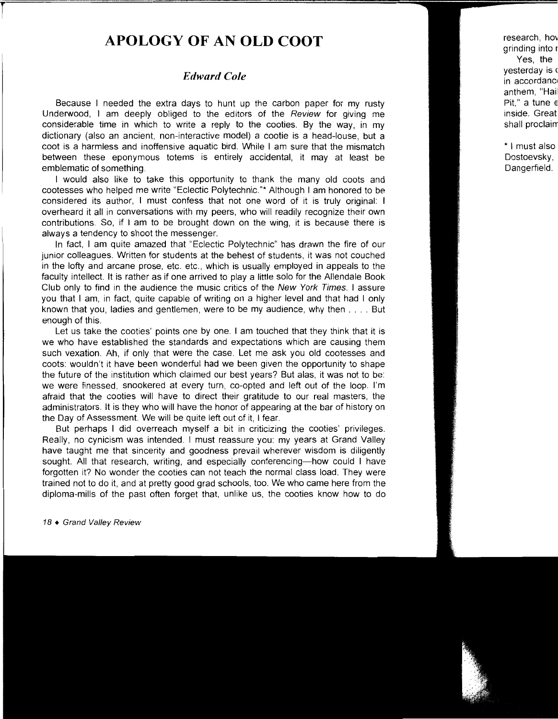## **APOLOGY OF AN OLD COOT**

## *Edward Cole*

Because I needed the extra days to hunt up the carbon paper for my rusty Underwood, I am deeply obliged to the editors of the Review for giving me considerable time in which to write a reply to the cooties. By the way, in my dictionary (also an ancient, non-interactive model) a cootie is a head-louse, but a coot is a harmless and inoffensive aquatic bird. While I am sure that the mismatch between these eponymous totems is entirely accidental, it may at least be emblematic of something.

I would also like to take this opportunity to thank the many old coots and cootesses who helped me write "Eclectic Polytechnic."\* Although I am honored to be considered its author, I must confess that not one word of it is truly original: I overheard it all in conversations with my peers, who will readily recognize their own contributions. So, if I am to be brought down on the wing, it is because there is always a tendency to shoot the messenger.

In fact, I am quite amazed that "Eclectic Polytechnic" has drawn the fire of our junior colleagues. Written for students at the behest of students, it was not couched in the lofty and arcane prose, etc. etc., which is usually employed in appeals to the faculty intellect. It is rather as if one arrived to play a little solo for the Allendale Book Club only to find in the audience the music critics of the New York Times. I assure you that I am, in fact, quite capable of writing on a higher level and that had I only known that you, ladies and gentlemen, were to be my audience, why then .... But enough of this.

Let us take the cooties' points one by one. I am touched that they think that it is we who have established the standards and expectations which are causing them such vexation. Ah, if only that were the case. Let me ask you old cootesses and coots: wouldn't it have been wonderful had we been given the opportunity to shape the future of the institution which claimed our best years? But alas, it was not to be: we were finessed, snookered at every turn, co-opted and left out of the loop. I'm afraid that the cooties will have to direct their gratitude to our real masters, the administrators. It is they who will have the honor of appearing at the bar of history on the Day of Assessment. We will be quite left out of it, I fear.

But perhaps I did overreach myself a bit in criticizing the cooties' privileges. Really, no cynicism was intended. I must reassure you: my years at Grand Valley have taught me that sincerity and goodness prevail wherever wisdom is diligently sought. All that research, writing, and especially conferencing—how could I have forgotten it? No wonder the cooties can not teach the normal class load. They were trained not to do it, and at pretty good grad schools, too. We who came here from the diploma-mills of the past often forget that, unlike us, the cooties know how to do